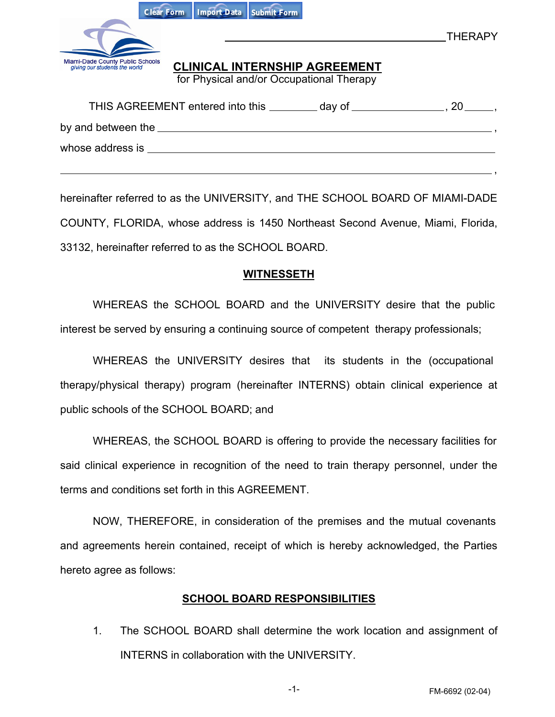| Import Data Submit Form<br><b>Clear Form</b>                                                                                                          |  |
|-------------------------------------------------------------------------------------------------------------------------------------------------------|--|
| <b>THERAPY</b>                                                                                                                                        |  |
| Miami-Dade County Public Schools<br>giving our students the world<br><b>CLINICAL INTERNSHIP AGREEMENT</b><br>for Physical and/or Occupational Therapy |  |
|                                                                                                                                                       |  |
|                                                                                                                                                       |  |
| whose address is                                                                                                                                      |  |

hereinafter referred to as the UNIVERSITY, and THE SCHOOL BOARD OF MIAMI-DADE COUNTY, FLORIDA, whose address is 1450 Northeast Second Avenue, Miami, Florida, 33132, hereinafter referred to as the SCHOOL BOARD.

## **WITNESSETH**

WHEREAS the SCHOOL BOARD and the UNIVERSITY desire that the public interest be served by ensuring a continuing source of competent therapy professionals;

WHEREAS the UNIVERSITY desires that its students in the (occupational therapy/physical therapy) program (hereinafter INTERNS) obtain clinical experience at public schools of the SCHOOL BOARD; and

WHEREAS, the SCHOOL BOARD is offering to provide the necessary facilities for said clinical experience in recognition of the need to train therapy personnel, under the terms and conditions set forth in this AGREEMENT.

NOW, THEREFORE, in consideration of the premises and the mutual covenants and agreements herein contained, receipt of which is hereby acknowledged, the Parties hereto agree as follows:

## **SCHOOL BOARD RESPONSIBILITIES**

1. The SCHOOL BOARD shall determine the work location and assignment of INTERNS in collaboration with the UNIVERSITY.

,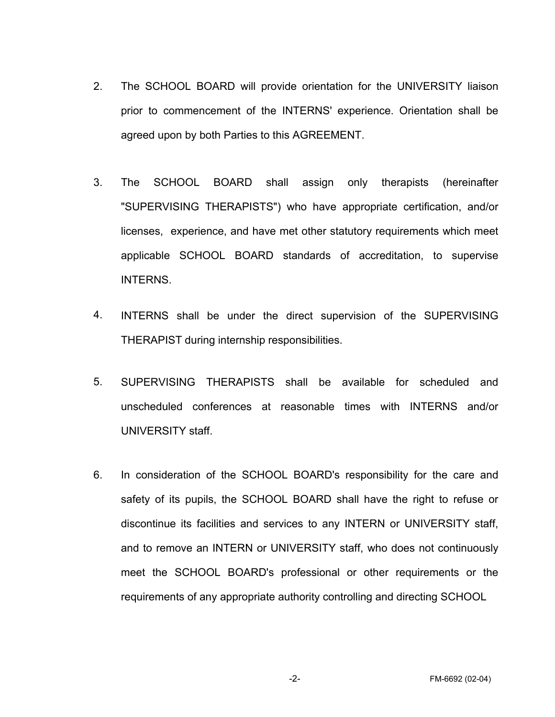- 2. The SCHOOL BOARD will provide orientation for the UNIVERSITY liaison prior to commencement of the INTERNS' experience. Orientation shall be agreed upon by both Parties to this AGREEMENT.
- 3. The SCHOOL BOARD shall assign only therapists (hereinafter "SUPERVISING THERAPISTS") who have appropriate certification, and/or licenses, experience, and have met other statutory requirements which meet applicable SCHOOL BOARD standards of accreditation, to supervise INTERNS.
- 4. INTERNS shall be under the direct supervision of the SUPERVISING THERAPIST during internship responsibilities.
- 5. SUPERVISING THERAPISTS shall be available for scheduled and unscheduled conferences at reasonable times with INTERNS and/or UNIVERSITY staff.
- 6. In consideration of the SCHOOL BOARD's responsibility for the care and safety of its pupils, the SCHOOL BOARD shall have the right to refuse or discontinue its facilities and services to any INTERN or UNIVERSITY staff, and to remove an INTERN or UNIVERSITY staff, who does not continuously meet the SCHOOL BOARD's professional or other requirements or the requirements of any appropriate authority controlling and directing SCHOOL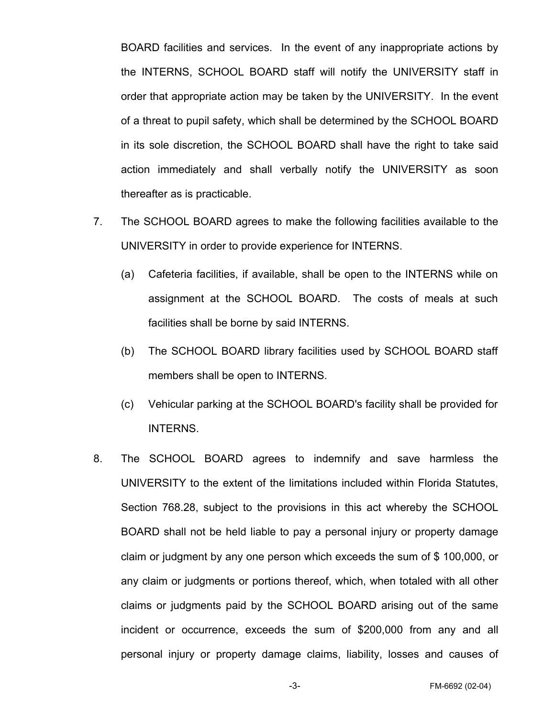BOARD facilities and services. In the event of any inappropriate actions by the INTERNS, SCHOOL BOARD staff will notify the UNIVERSITY staff in order that appropriate action may be taken by the UNIVERSITY. In the event of a threat to pupil safety, which shall be determined by the SCHOOL BOARD in its sole discretion, the SCHOOL BOARD shall have the right to take said action immediately and shall verbally notify the UNIVERSITY as soon thereafter as is practicable.

- 7. The SCHOOL BOARD agrees to make the following facilities available to the UNIVERSITY in order to provide experience for INTERNS.
	- (a) Cafeteria facilities, if available, shall be open to the INTERNS while on assignment at the SCHOOL BOARD. The costs of meals at such facilities shall be borne by said INTERNS.
	- (b) The SCHOOL BOARD library facilities used by SCHOOL BOARD staff members shall be open to INTERNS.
	- (c) Vehicular parking at the SCHOOL BOARD's facility shall be provided for INTERNS.
- 8. The SCHOOL BOARD agrees to indemnify and save harmless the UNIVERSITY to the extent of the limitations included within Florida Statutes, Section 768.28, subject to the provisions in this act whereby the SCHOOL BOARD shall not be held liable to pay a personal injury or property damage claim or judgment by any one person which exceeds the sum of \$ 100,000, or any claim or judgments or portions thereof, which, when totaled with all other claims or judgments paid by the SCHOOL BOARD arising out of the same incident or occurrence, exceeds the sum of \$200,000 from any and all personal injury or property damage claims, liability, losses and causes of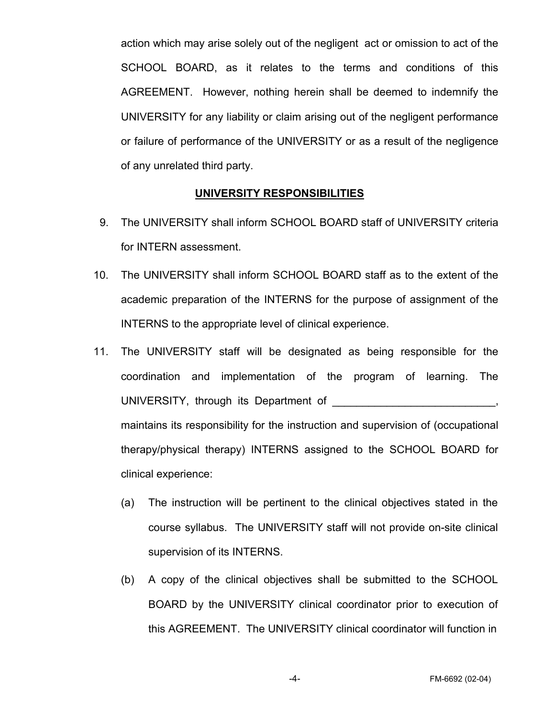action which may arise solely out of the negligent act or omission to act of the SCHOOL BOARD, as it relates to the terms and conditions of this AGREEMENT. However, nothing herein shall be deemed to indemnify the UNIVERSITY for any liability or claim arising out of the negligent performance or failure of performance of the UNIVERSITY or as a result of the negligence of any unrelated third party.

## **UNIVERSITY RESPONSIBILITIES**

- 9. The UNIVERSITY shall inform SCHOOL BOARD staff of UNIVERSITY criteria for INTERN assessment.
- 10. The UNIVERSITY shall inform SCHOOL BOARD staff as to the extent of the academic preparation of the INTERNS for the purpose of assignment of the INTERNS to the appropriate level of clinical experience.
- 11. The UNIVERSITY staff will be designated as being responsible for the coordination and implementation of the program of learning. The UNIVERSITY, through its Department of  $\blacksquare$ maintains its responsibility for the instruction and supervision of (occupational therapy/physical therapy) INTERNS assigned to the SCHOOL BOARD for clinical experience:
	- (a) The instruction will be pertinent to the clinical objectives stated in the course syllabus. The UNIVERSITY staff will not provide on-site clinical supervision of its INTERNS.
	- (b) A copy of the clinical objectives shall be submitted to the SCHOOL BOARD by the UNIVERSITY clinical coordinator prior to execution of this AGREEMENT. The UNIVERSITY clinical coordinator will function in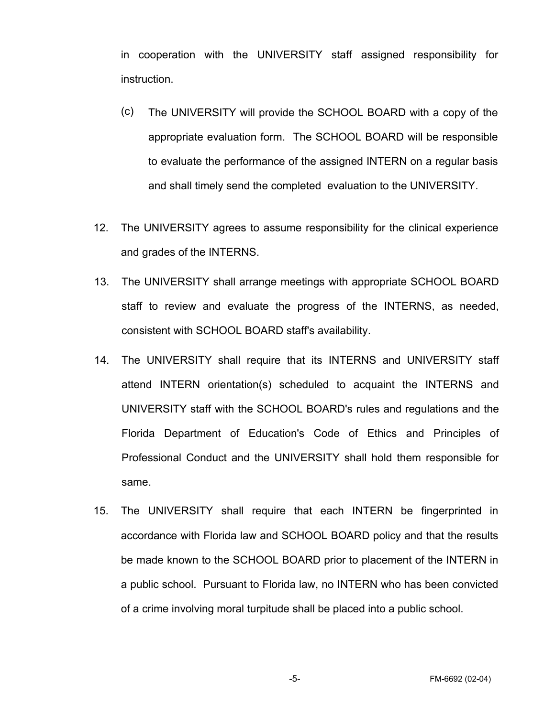in cooperation with the UNIVERSITY staff assigned responsibility for instruction.

- (c) The UNIVERSITY will provide the SCHOOL BOARD with a copy of the appropriate evaluation form. The SCHOOL BOARD will be responsible to evaluate the performance of the assigned INTERN on a regular basis and shall timely send the completed evaluation to the UNIVERSITY.
- 12. The UNIVERSITY agrees to assume responsibility for the clinical experience and grades of the INTERNS.
- 13. The UNIVERSITY shall arrange meetings with appropriate SCHOOL BOARD staff to review and evaluate the progress of the INTERNS, as needed, consistent with SCHOOL BOARD staff's availability.
- 14. The UNIVERSITY shall require that its INTERNS and UNIVERSITY staff attend INTERN orientation(s) scheduled to acquaint the INTERNS and UNIVERSITY staff with the SCHOOL BOARD's rules and regulations and the Florida Department of Education's Code of Ethics and Principles of Professional Conduct and the UNIVERSITY shall hold them responsible for same.
- 15. The UNIVERSITY shall require that each INTERN be fingerprinted in accordance with Florida law and SCHOOL BOARD policy and that the results be made known to the SCHOOL BOARD prior to placement of the INTERN in a public school. Pursuant to Florida law, no INTERN who has been convicted of a crime involving moral turpitude shall be placed into a public school.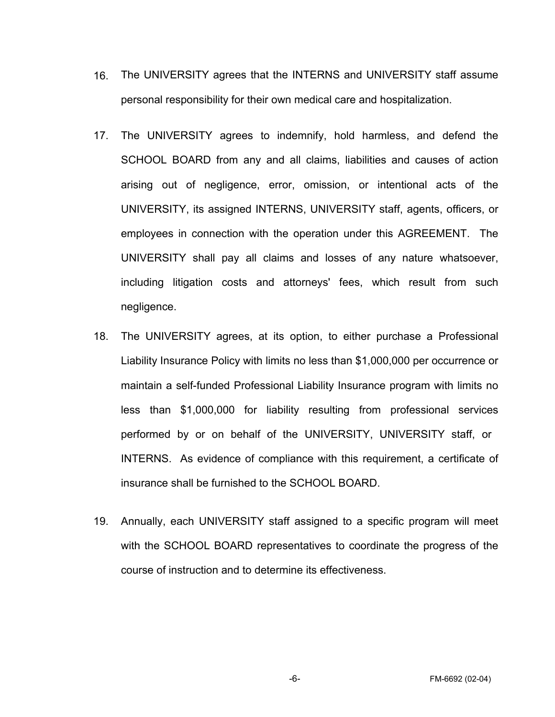- 16. The UNIVERSITY agrees that the INTERNS and UNIVERSITY staff assume personal responsibility for their own medical care and hospitalization.
- 17. The UNIVERSITY agrees to indemnify, hold harmless, and defend the SCHOOL BOARD from any and all claims, liabilities and causes of action arising out of negligence, error, omission, or intentional acts of the UNIVERSITY, its assigned INTERNS, UNIVERSITY staff, agents, officers, or employees in connection with the operation under this AGREEMENT. The UNIVERSITY shall pay all claims and losses of any nature whatsoever, including litigation costs and attorneys' fees, which result from such negligence.
- 18. The UNIVERSITY agrees, at its option, to either purchase a Professional Liability Insurance Policy with limits no less than \$1,000,000 per occurrence or maintain a self-funded Professional Liability Insurance program with limits no less than \$1,000,000 for liability resulting from professional services performed by or on behalf of the UNIVERSITY, UNIVERSITY staff, or INTERNS. As evidence of compliance with this requirement, a certificate of insurance shall be furnished to the SCHOOL BOARD.
- 19. Annually, each UNIVERSITY staff assigned to a specific program will meet with the SCHOOL BOARD representatives to coordinate the progress of the course of instruction and to determine its effectiveness.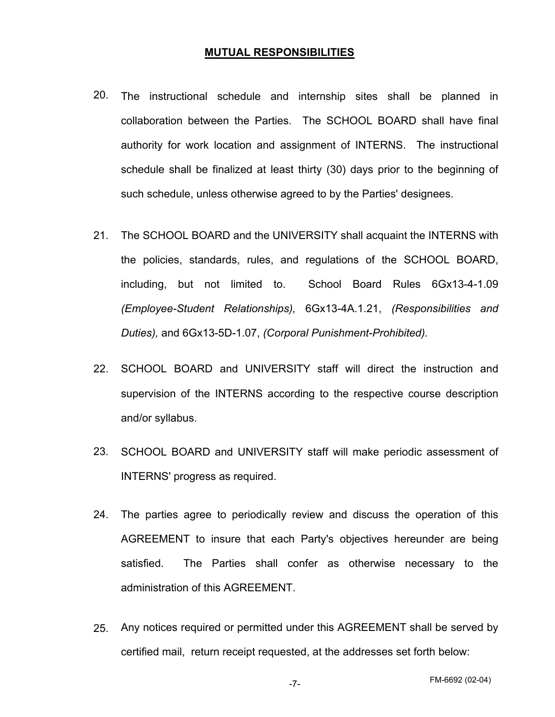## **MUTUAL RESPONSIBILITIES**

- 20. The instructional schedule and internship sites shall be planned in collaboration between the Parties. The SCHOOL BOARD shall have final authority for work location and assignment of INTERNS. The instructional schedule shall be finalized at least thirty (30) days prior to the beginning of such schedule, unless otherwise agreed to by the Parties' designees.
- 21. The SCHOOL BOARD and the UNIVERSITY shall acquaint the INTERNS with the policies, standards, rules, and regulations of the SCHOOL BOARD, including, but not limited to. School Board Rules 6Gx13-4-1.09 *(Employee-Student Relationships),* 6Gx13-4A.1.21, *(Responsibilities and Duties),* and 6Gx13-5D-1.07, *(Corporal Punishment-Prohibited).*
- 22. SCHOOL BOARD and UNIVERSITY staff will direct the instruction and supervision of the INTERNS according to the respective course description and/or syllabus.
- 23. SCHOOL BOARD and UNIVERSITY staff will make periodic assessment of INTERNS' progress as required.
- 24. The parties agree to periodically review and discuss the operation of this AGREEMENT to insure that each Party's objectives hereunder are being satisfied. The Parties shall confer as otherwise necessary to the administration of this AGREEMENT.
- 25. Any notices required or permitted under this AGREEMENT shall be served by certified mail, return receipt requested, at the addresses set forth below: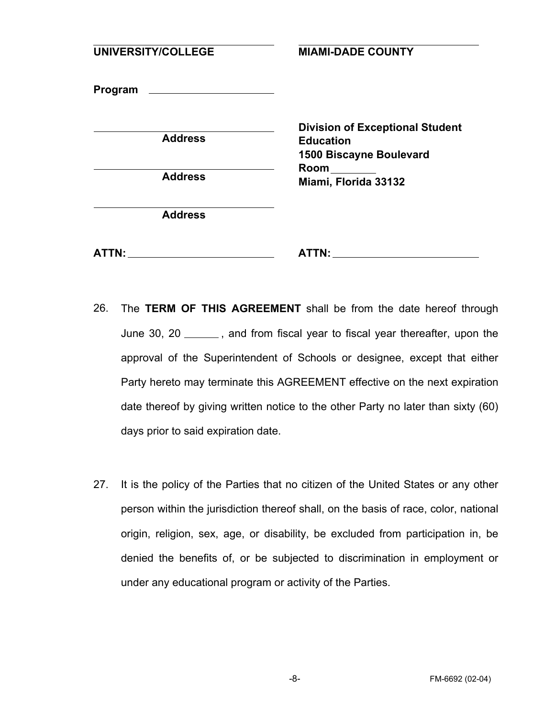| UNIVERSITY/COLLEGE | <b>MIAMI-DADE COUNTY</b>                                                                                                     |
|--------------------|------------------------------------------------------------------------------------------------------------------------------|
|                    |                                                                                                                              |
| <b>Address</b>     | <b>Division of Exceptional Student</b><br><b>Education</b><br><b>1500 Biscayne Boulevard</b><br>Room<br>Miami, Florida 33132 |
| <b>Address</b>     |                                                                                                                              |
| <b>Address</b>     |                                                                                                                              |
| ATTN:              | ATTN:                                                                                                                        |

- 26. The **TERM OF THIS AGREEMENT** shall be from the date hereof through June 30, 20 \_\_\_\_\_, and from fiscal year to fiscal year thereafter, upon the approval of the Superintendent of Schools or designee, except that either Party hereto may terminate this AGREEMENT effective on the next expiration date thereof by giving written notice to the other Party no later than sixty (60) days prior to said expiration date.
- It is the policy of the Parties that no citizen of the United States or any other person within the jurisdiction thereof shall, on the basis of race, color, national origin, religion, sex, age, or disability, be excluded from participation in, be denied the benefits of, or be subjected to discrimination in employment or under any educational program or activity of the Parties. 27.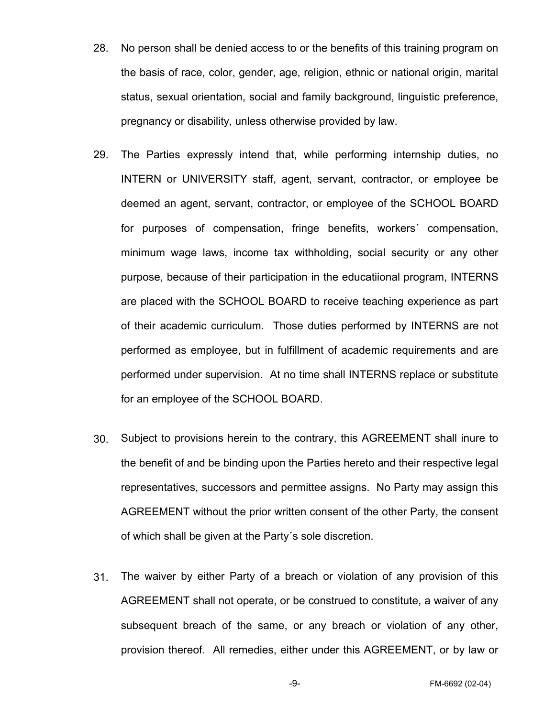- 28. No person shall be denied access to or the benefits of this training program on the basis of race, color, gender, age, religion, ethnic or national origin, marital status, sexual orientation, social and family background, linguistic preference, pregnancy or disability, unless otherwise provided by law.
- 29. The Parties expressly intend that, while performing internship duties, no INTERN or UNIVERSITY staff, agent, servant, contractor, or employee be deemed an agent, servant, contractor, or employee of the SCHOOL BOARD for purposes of compensation, fringe benefits, workers´ compensation, minimum wage laws, income tax withholding, social security or any other purpose, because of their participation in the educatiional program, INTERNS are placed with the SCHOOL BOARD to receive teaching experience as part of their academic curriculum. Those duties performed by INTERNS are not performed as employee, but in fulfillment of academic requirements and are performed under supervision. At no time shall INTERNS replace or substitute for an employee of the SCHOOL BOARD.
- 30. Subject to provisions herein to the contrary, this AGREEMENT shall inure to the benefit of and be binding upon the Parties hereto and their respective legal representatives, successors and permittee assigns. No Party may assign this AGREEMENT without the prior written consent of the other Party, the consent of which shall be given at the Party´s sole discretion.
- 31. The waiver by either Party of a breach or violation of any provision of this AGREEMENT shall not operate, or be construed to constitute, a waiver of any subsequent breach of the same, or any breach or violation of any other, provision thereof. All remedies, either under this AGREEMENT, or by law or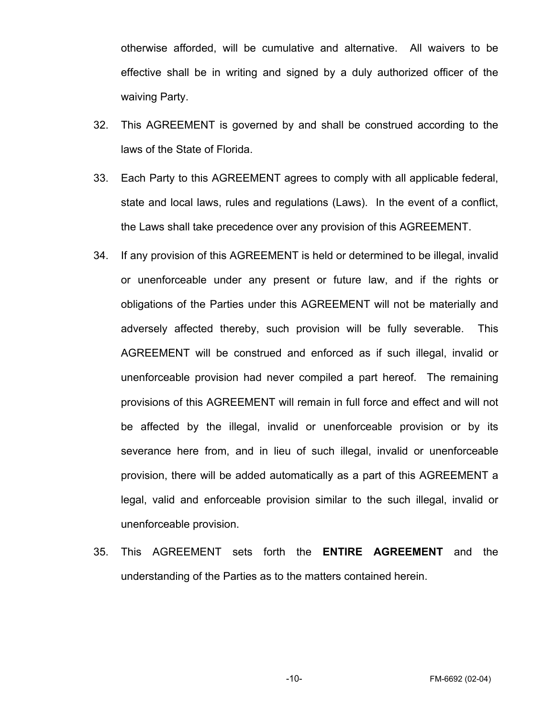otherwise afforded, will be cumulative and alternative. All waivers to be effective shall be in writing and signed by a duly authorized officer of the waiving Party.

- 32. This AGREEMENT is governed by and shall be construed according to the laws of the State of Florida.
- 33. Each Party to this AGREEMENT agrees to comply with all applicable federal, state and local laws, rules and regulations (Laws). In the event of a conflict, the Laws shall take precedence over any provision of this AGREEMENT.
- 34. If any provision of this AGREEMENT is held or determined to be illegal, invalid or unenforceable under any present or future law, and if the rights or obligations of the Parties under this AGREEMENT will not be materially and adversely affected thereby, such provision will be fully severable. This AGREEMENT will be construed and enforced as if such illegal, invalid or unenforceable provision had never compiled a part hereof. The remaining provisions of this AGREEMENT will remain in full force and effect and will not be affected by the illegal, invalid or unenforceable provision or by its severance here from, and in lieu of such illegal, invalid or unenforceable provision, there will be added automatically as a part of this AGREEMENT a legal, valid and enforceable provision similar to the such illegal, invalid or unenforceable provision.
- 35. This AGREEMENT sets forth the **ENTIRE AGREEMENT** and the understanding of the Parties as to the matters contained herein.